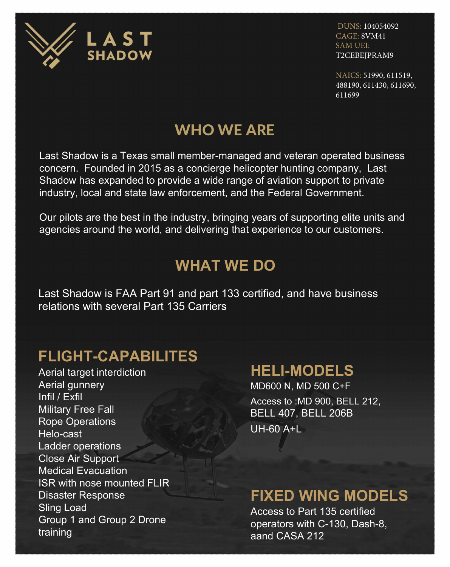

DUNS: 104054092 CAGE: 8VM41 SAM UEI: T2CEBEJPRAM9

NAICS: 51990, 611519, 488190, 611430, 611690, 611699

# WHO WE ARE

Last Shadow is a Texas small member-managed and veteran operated business concern. Founded in 2015 as a concierge helicopter hunting company, Last Shadow has expanded to provide a wide range of aviation support to private industry, local and state law enforcement, and the Federal Government.

Our pilots are the best in the industry, bringing years of supporting elite units and agencies around the world, and delivering that experience to our customers.

## **WHAT WE DO**

Last Shadow is FAA Part 91 and part 133 certified, and have business relations with several Part 135 Carriers

## **FLIGHT-CAPABILITES**

Aerial target interdiction Aerial gunnery Infil / Exfil Military Free Fall Rope Operations Helo-cast Ladder operations Close Air Support Medical Evacuation ISR with nose mounted FLIR Disaster Response Sling Load Group 1 and Group 2 Drone training

### **HELI-MODELS**

MD600 N, MD 500 C+F Access to :MD 900, BELL 212, BELL 407, BELL 206B UH-60 A+L

## **FIXED WING MODELS**

Access to Part 135 certified operators with C-130, Dash-8, aand CASA 212